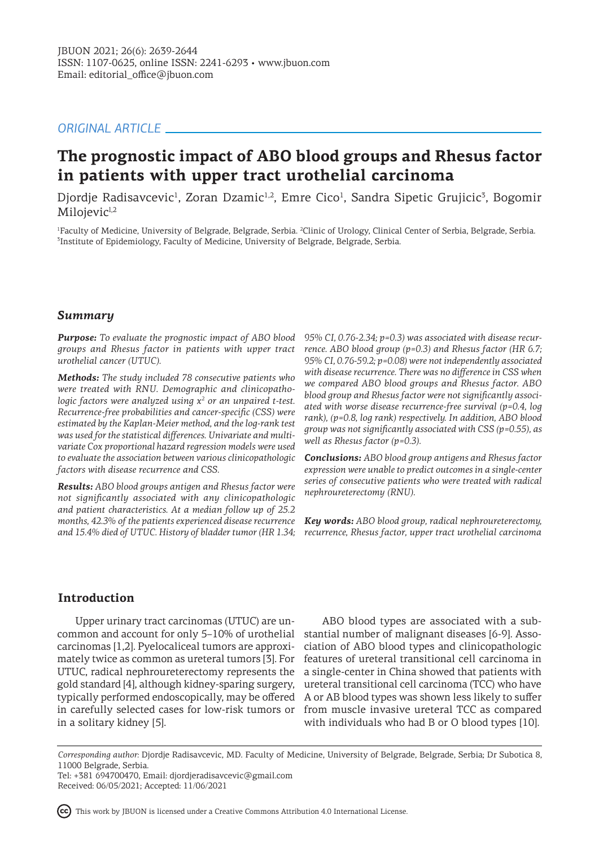# *ORIGINAL ARTICLE*

# **The prognostic impact of ABO blood groups and Rhesus factor in patients with upper tract urothelial carcinoma**

Djordje Radisavcevic<sup>1</sup>, Zoran Dzamic<sup>1,2</sup>, Emre Cico<sup>1</sup>, Sandra Sipetic Grujicic<sup>3</sup>, Bogomir Milojevic<sup>1,2</sup>

<sup>1</sup>Faculty of Medicine, University of Belgrade, Belgrade, Serbia. <sup>2</sup>Clinic of Urology, Clinical Center of Serbia, Belgrade, Serbia. 3 Institute of Epidemiology, Faculty of Medicine, University of Belgrade, Belgrade, Serbia.

### *Summary*

*Purpose: To evaluate the prognostic impact of ABO blood groups and Rhesus factor in patients with upper tract urothelial cancer (UTUC).*

*Methods: The study included 78 consecutive patients who were treated with RNU. Demographic and clinicopathologic factors were analyzed using x2 or an unpaired t-test. Recurrence-free probabilities and cancer-specific (CSS) were estimated by the Kaplan-Meier method, and the log-rank test was used for the statistical differences. Univariate and multivariate Cox proportional hazard regression models were used to evaluate the association between various clinicopathologic factors with disease recurrence and CSS.* 

*Results: ABO blood groups antigen and Rhesus factor were not significantly associated with any clinicopathologic and patient characteristics. At a median follow up of 25.2 months, 42.3% of the patients experienced disease recurrence and 15.4% died of UTUC. History of bladder tumor (HR 1.34;* 

*95% CI, 0.76-2.34; p=0.3) was associated with disease recurrence. ABO blood group (p=0.3) and Rhesus factor (HR 6.7; 95% CI, 0.76-59.2; p=0.08) were not independently associated with disease recurrence. There was no difference in CSS when we compared ABO blood groups and Rhesus factor. ABO blood group and Rhesus factor were not significantly associated with worse disease recurrence-free survival (p=0.4, log rank), (p=0.8, log rank) respectively. In addition, ABO blood group was not significantly associated with CSS (p=0.55), as well as Rhesus factor (p=0.3).* 

*Conclusions: ABO blood group antigens and Rhesus factor expression were unable to predict outcomes in a single-center series of consecutive patients who were treated with radical nephroureterectomy (RNU).* 

*Key words: ABO blood group, radical nephroureterectomy, recurrence, Rhesus factor, upper tract urothelial carcinoma*

### **Introduction**

Upper urinary tract carcinomas (UTUC) are uncommon and account for only 5–10% of urothelial carcinomas [1,2]. Pyelocaliceal tumors are approximately twice as common as ureteral tumors [3]. For UTUC, radical nephroureterectomy represents the gold standard [4], although kidney-sparing surgery, typically performed endoscopically, may be offered in carefully selected cases for low-risk tumors or in a solitary kidney [5].

ABO blood types are associated with a substantial number of malignant diseases [6-9]. Association of ABO blood types and clinicopathologic features of ureteral transitional cell carcinoma in a single-center in China showed that patients with ureteral transitional cell carcinoma (TCC) who have A or AB blood types was shown less likely to suffer from muscle invasive ureteral TCC as compared with individuals who had B or O blood types [10].

This work by JBUON is licensed under a Creative Commons Attribution 4.0 International License.

*Corresponding author:* Djordje Radisavcevic, MD. Faculty of Medicine, University of Belgrade, Belgrade, Serbia; Dr Subotica 8, 11000 Belgrade, Serbia.

Tel: +381 694700470, Email: djordjeradisavcevic@gmail.com Received: 06/05/2021; Accepted: 11/06/2021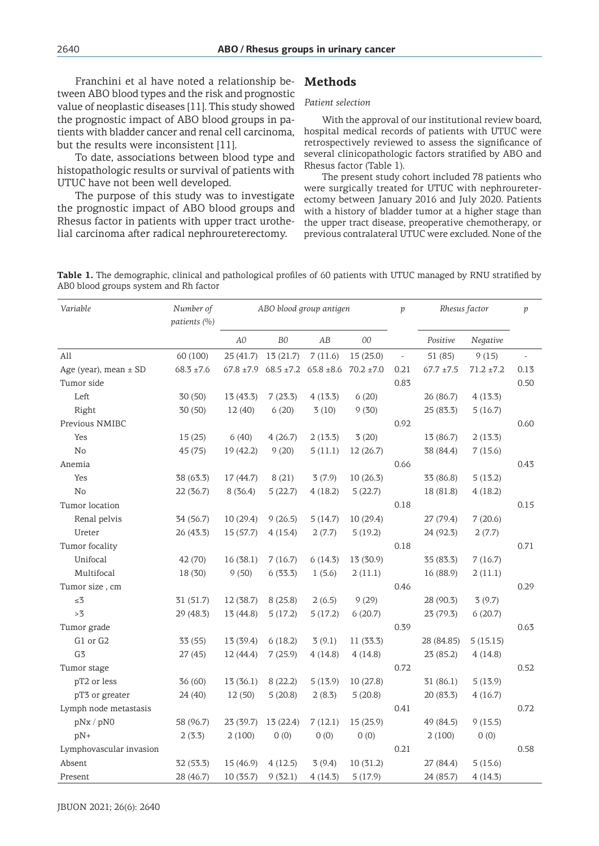Franchini et al have noted a relationship between ABO blood types and the risk and prognostic value of neoplastic diseases [11]. This study showed the prognostic impact of ABO blood groups in patients with bladder cancer and renal cell carcinoma, but the results were inconsistent [11].

To date, associations between blood type and histopathologic results or survival of patients with UTUC have not been well developed.

The purpose of this study was to investigate the prognostic impact of ABO blood groups and Rhesus factor in patients with upper tract urothelial carcinoma after radical nephroureterectomy.

### **Methods**

#### *Patient selection*

With the approval of our institutional review board, hospital medical records of patients with UTUC were retrospectively reviewed to assess the significance of several clinicopathologic factors stratified by ABO and Rhesus factor (Table 1).

The present study cohort included 78 patients who were surgically treated for UTUC with nephroureterectomy between January 2016 and July 2020. Patients with a history of bladder tumor at a higher stage than the upper tract disease, preoperative chemotherapy, or previous contralateral UTUC were excluded. None of the

**Table 1.** The demographic, clinical and pathological profiles of 60 patients with UTUC managed by RNU stratified by AB0 blood groups system and Rh factor

| Variable                  | Number of<br>patients (%) | ABO blood group antigen |                |              |                |                          | Rhesus factor |                | $\,p\,$ |
|---------------------------|---------------------------|-------------------------|----------------|--------------|----------------|--------------------------|---------------|----------------|---------|
|                           |                           | A <sub>0</sub>          | B <sub>0</sub> | AB           | 00             |                          | Positive      | Negative       |         |
| All                       | 60 (100)                  | 25(41.7)                | 13(21.7)       | 7(11.6)      | 15(25.0)       | $\overline{\phantom{0}}$ | 51 (85)       | 9(15)          |         |
| Age (year), mean $\pm$ SD | $68.3 \pm 7.6$            | $67.8 \pm 7.9$          | $68.5 \pm 7.2$ | $65.8 + 8.6$ | $70.2 \pm 7.0$ | 0.21                     | $67.7 + 7.5$  | $71.2 \pm 7.2$ | 0.13    |
| Tumor side                |                           |                         |                |              |                | 0.83                     |               |                | 0.50    |
| Left                      | 30 (50)                   | 13 (43.3)               | 7(23.3)        | 4(13.3)      | 6(20)          |                          | 26 (86.7)     | 4(13.3)        |         |
| Right                     | 30 (50)                   | 12(40)                  | 6(20)          | 3(10)        | 9(30)          |                          | 25 (83.3)     | 5(16.7)        |         |
| Previous NMIBC            |                           |                         |                |              |                | 0.92                     |               |                | 0.60    |
| Yes                       | 15(25)                    | 6(40)                   | 4(26.7)        | 2(13.3)      | 3(20)          |                          | 13 (86.7)     | 2(13.3)        |         |
| No                        | 45 (75)                   | 19 (42.2)               | 9(20)          | 5(11.1)      | 12(26.7)       |                          | 38 (84.4)     | 7(15.6)        |         |
| Anemia                    |                           |                         |                |              |                | 0.66                     |               |                | 0.43    |
| Yes                       | 38 (63.3)                 | 17 (44.7)               | 8(21)          | 3(7.9)       | 10(26.3)       |                          | 33 (86.8)     | 5(13.2)        |         |
| No                        | 22 (36.7)                 | 8(36.4)                 | 5(22.7)        | 4(18.2)      | 5(22.7)        |                          | 18 (81.8)     | 4(18.2)        |         |
| Tumor location            |                           |                         |                |              |                | 0.18                     |               |                | 0.15    |
| Renal pelvis              | 34 (56.7)                 | 10(29.4)                | 9(26.5)        | 5(14.7)      | 10(29.4)       |                          | 27 (79.4)     | 7(20.6)        |         |
| Ureter                    | 26(43.3)                  | 15(57.7)                | 4(15.4)        | 2(7.7)       | 5(19.2)        |                          | 24 (92.3)     | 2(7.7)         |         |
| Tumor focality            |                           |                         |                |              |                | 0.18                     |               |                | 0.71    |
| Unifocal                  | 42 (70)                   | 16 (38.1)               | 7(16.7)        | 6(14.3)      | 13 (30.9)      |                          | 35 (83.3)     | 7(16.7)        |         |
| Multifocal                | 18 (30)                   | 9(50)                   | 6(33.3)        | 1(5.6)       | 2(11.1)        |                          | 16 (88.9)     | 2(11.1)        |         |
| Tumor size, cm            |                           |                         |                |              |                | 0.46                     |               |                | 0.29    |
| $\leq 3$                  | 31 (51.7)                 | 12 (38.7)               | 8(25.8)        | 2(6.5)       | 9(29)          |                          | 28 (90.3)     | 3(9.7)         |         |
| >3                        | 29 (48.3)                 | 13 (44.8)               | 5(17.2)        | 5(17.2)      | 6(20.7)        |                          | 23 (79.3)     | 6(20.7)        |         |
| Tumor grade               |                           |                         |                |              |                | 0.39                     |               |                | 0.63    |
| G1 or G2                  | 33 (55)                   | 13 (39.4)               | 6(18.2)        | 3(9.1)       | 11 (33.3)      |                          | 28 (84.85)    | 5(15.15)       |         |
| G <sub>3</sub>            | 27(45)                    | 12 (44.4)               | 7(25.9)        | 4(14.8)      | 4(14.8)        |                          | 23(85.2)      | 4(14.8)        |         |
| Tumor stage               |                           |                         |                |              |                | 0.72                     |               |                | 0.52    |
| pT2 or less               | 36 (60)                   | 13 (36.1)               | 8(22.2)        | 5(13.9)      | 10(27.8)       |                          | 31(86.1)      | 5(13.9)        |         |
| pT3 or greater            | 24 (40)                   | 12(50)                  | 5(20.8)        | 2(8.3)       | 5(20.8)        |                          | 20 (83.3)     | 4(16.7)        |         |
| Lymph node metastasis     |                           |                         |                |              |                | 0.41                     |               |                | 0.72    |
| pNx / pN0                 | 58 (96.7)                 | 23 (39.7)               | 13 (22.4)      | 7(12.1)      | 15(25.9)       |                          | 49 (84.5)     | 9(15.5)        |         |
| $pN+$                     | 2(3.3)                    | 2(100)                  | 0(0)           | 0(0)         | 0(0)           |                          | 2(100)        | 0(0)           |         |
| Lymphovascular invasion   |                           |                         |                |              |                | 0.21                     |               |                | 0.58    |
| Absent                    | 32 (53.3)                 | 15 (46.9)               | 4(12.5)        | 3(9.4)       | 10(31.2)       |                          | 27 (84.4)     | 5(15.6)        |         |
| Present                   | 28 (46.7)                 | 10(35.7)                | 9(32.1)        | 4(14.3)      | 5(17.9)        |                          | 24 (85.7)     | 4(14.3)        |         |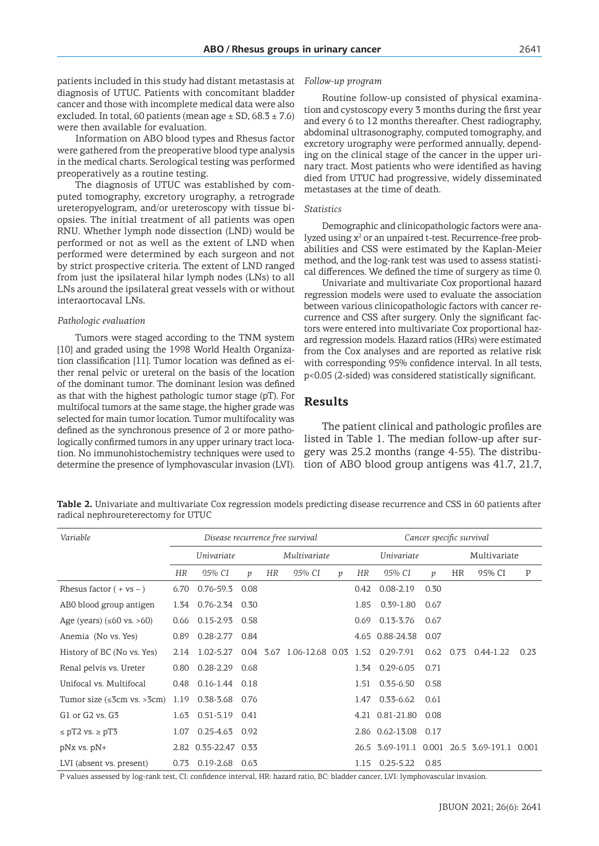patients included in this study had distant metastasis at diagnosis of UTUC. Patients with concomitant bladder cancer and those with incomplete medical data were also excluded. In total, 60 patients (mean age  $\pm$  SD, 68.3  $\pm$  7.6) were then available for evaluation.

Information on ABO blood types and Rhesus factor were gathered from the preoperative blood type analysis in the medical charts. Serological testing was performed preoperatively as a routine testing.

The diagnosis of UTUC was established by computed tomography, excretory urography, a retrograde ureteropyelogram, and/or ureteroscopy with tissue biopsies. The initial treatment of all patients was open RNU. Whether lymph node dissection (LND) would be performed or not as well as the extent of LND when performed were determined by each surgeon and not by strict prospective criteria. The extent of LND ranged from just the ipsilateral hilar lymph nodes (LNs) to all LNs around the ipsilateral great vessels with or without interaortocaval LNs.

#### *Pathologic evaluation*

Tumors were staged according to the TNM system [10] and graded using the 1998 World Health Organization classification [11]. Tumor location was defined as either renal pelvic or ureteral on the basis of the location of the dominant tumor. The dominant lesion was defined as that with the highest pathologic tumor stage (pT). For multifocal tumors at the same stage, the higher grade was selected for main tumor location. Tumor multifocality was defined as the synchronous presence of 2 or more pathologically confirmed tumors in any upper urinary tract location. No immunohistochemistry techniques were used to determine the presence of lymphovascular invasion (LVI).

#### *Follow-up program*

Routine follow-up consisted of physical examination and cystoscopy every 3 months during the first year and every 6 to 12 months thereafter. Chest radiography, abdominal ultrasonography, computed tomography, and excretory urography were performed annually, depending on the clinical stage of the cancer in the upper urinary tract. Most patients who were identified as having died from UTUC had progressive, widely disseminated metastases at the time of death.

#### *Statistics*

Demographic and clinicopathologic factors were analyzed using  $x^2$  or an unpaired t-test. Recurrence-free probabilities and CSS were estimated by the Kaplan-Meier method, and the log-rank test was used to assess statistical differences. We defined the time of surgery as time 0.

Univariate and multivariate Cox proportional hazard regression models were used to evaluate the association between various clinicopathologic factors with cancer recurrence and CSS after surgery. Only the significant factors were entered into multivariate Cox proportional hazard regression models. Hazard ratios (HRs) were estimated from the Cox analyses and are reported as relative risk with corresponding 95% confidence interval. In all tests, p<0.05 (2-sided) was considered statistically significant.

#### **Results**

The patient clinical and pathologic profiles are listed in Table 1. The median follow-up after surgery was 25.2 months (range 4-55). The distribution of ABO blood group antigens was 41.7, 21.7,

**Table 2.** Univariate and multivariate Cox regression models predicting disease recurrence and CSS in 60 patients after radical nephroureterectomy for UTUC

| Variable                             | Disease recurrence free survival |                      |               |              |                                | Cancer specific survival |            |                       |      |              |                       |             |
|--------------------------------------|----------------------------------|----------------------|---------------|--------------|--------------------------------|--------------------------|------------|-----------------------|------|--------------|-----------------------|-------------|
|                                      | <i>Univariate</i>                |                      |               | Multivariate |                                |                          | Univariate |                       |      | Multivariate |                       |             |
|                                      | HR                               | 95% CI               | $\mathcal{D}$ | HR           | 95% CI                         | $\mathcal{D}$            | HR         | 95% CI                | p    | HR           | 95% CI                | $\mathbf P$ |
| Rhesus factor $(+ \text{ vs } -)$    | 6.70                             | 0.76-59.3            | 0.08          |              |                                |                          | 0.42       | $0.08 - 2.19$         | 0.30 |              |                       |             |
| ABO blood group antigen              | 1.34                             | 0.76-2.34 0.30       |               |              |                                |                          | 1.85       | $0.39 - 1.80$         | 0.67 |              |                       |             |
| Age (years) (≤60 vs. >60)            | 0.66                             | $0.15 - 2.93$        | 0.58          |              |                                |                          | 0.69       | $0.13 - 3.76$         | 0.67 |              |                       |             |
| Anemia (No vs. Yes)                  | 0.89                             | $0.28 - 2.77$        | 0.84          |              |                                |                          |            | 4.65 0.88-24.38       | 0.07 |              |                       |             |
| History of BC (No vs. Yes)           | 2.14                             | $1.02 - 5.27$        |               |              | 0.04 3.67 1.06-12.68 0.03 1.52 |                          |            | 0.29-7.91             | 0.62 | 0.73         | $0.44 - 1.22$         | 0.23        |
| Renal pelvis vs. Ureter              | 0.80                             | $0.28 - 2.29$        | 0.68          |              |                                |                          | 1.34       | $0.29 - 6.05$         | 0.71 |              |                       |             |
| Unifocal vs. Multifocal              | 0.48                             | $0.16 - 1.44$ $0.18$ |               |              |                                |                          | 1.51       | $0.35 - 6.50$         | 0.58 |              |                       |             |
| Tumor size $(\leq 3cm$ vs. $> 3cm$ ) | 1.19                             | 0.38-3.68            | 0.76          |              |                                |                          | 1.47       | $0.33 - 6.62$         | 0.61 |              |                       |             |
| $G1$ or $G2$ vs. $G3$                | 1.63                             | $0.51 - 5.19$        | 0.41          |              |                                |                          |            | 4.21 0.81-21.80       | 0.08 |              |                       |             |
| $\leq$ pT2 vs. $\geq$ pT3            | 1.07                             | $0.25 - 4.63$        | 0.92          |              |                                |                          | 2.86       | 0.62-13.08            | 0.17 |              |                       |             |
| $pNx$ vs. $pN+$                      |                                  | 2.82 0.35-22.47 0.33 |               |              |                                |                          |            | 26.5 3.69-191.1 0.001 |      |              | 26.5 3.69-191.1 0.001 |             |
| LVI (absent vs. present)             | 0.73                             | $0.19 - 2.68$        | 0.63          |              |                                |                          | 1.15       | $0.25 - 5.22$         | 0.85 |              |                       |             |

P values assessed by log-rank test, CI: confidence interval, HR: hazard ratio, BC: bladder cancer, LVI: lymphovascular invasion.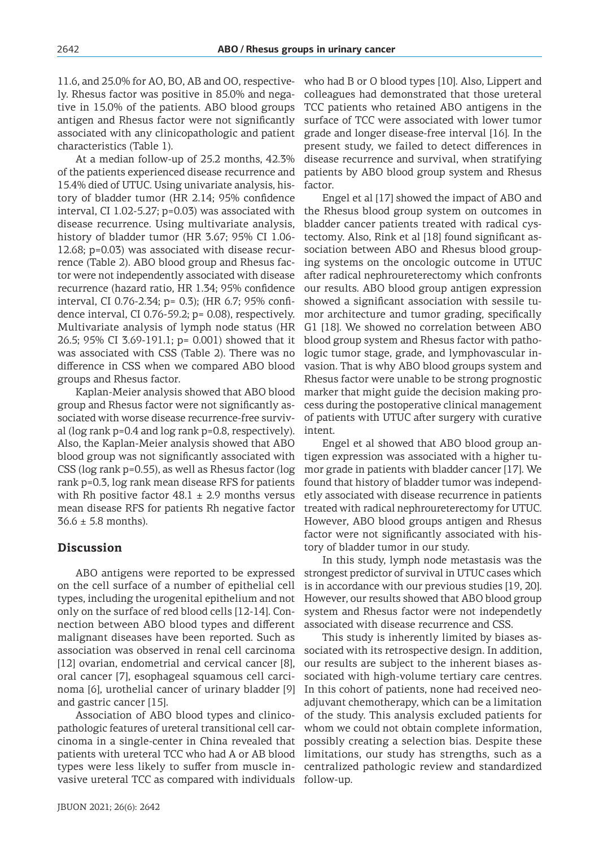11.6, and 25.0% for AO, BO, AB and OO, respectively. Rhesus factor was positive in 85.0% and negative in 15.0% of the patients. ABO blood groups antigen and Rhesus factor were not significantly associated with any clinicopathologic and patient characteristics (Table 1).

At a median follow-up of 25.2 months, 42.3% of the patients experienced disease recurrence and 15.4% died of UTUC. Using univariate analysis, history of bladder tumor (HR 2.14; 95% confidence interval, CI 1.02-5.27; p=0.03) was associated with disease recurrence. Using multivariate analysis, history of bladder tumor (HR 3.67; 95% CI 1.06- 12.68; p=0.03) was associated with disease recurrence (Table 2). ABO blood group and Rhesus factor were not independently associated with disease recurrence (hazard ratio, HR 1.34; 95% confidence interval, CI 0.76-2.34; p= 0.3); (HR 6.7; 95% confidence interval, CI 0.76-59.2; p= 0.08), respectively. Multivariate analysis of lymph node status (HR 26.5; 95% CI 3.69-191.1; p= 0.001) showed that it was associated with CSS (Table 2). There was no difference in CSS when we compared ABO blood groups and Rhesus factor.

Kaplan-Meier analysis showed that ABO blood group and Rhesus factor were not significantly associated with worse disease recurrence-free survival (log rank p=0.4 and log rank p=0.8, respectively). Also, the Kaplan-Meier analysis showed that ABO blood group was not significantly associated with CSS (log rank p=0.55), as well as Rhesus factor (log rank p=0.3, log rank mean disease RFS for patients with Rh positive factor  $48.1 \pm 2.9$  months versus mean disease RFS for patients Rh negative factor  $36.6 \pm 5.8$  months).

### **Discussion**

ABO antigens were reported to be expressed on the cell surface of a number of epithelial cell types, including the urogenital epithelium and not only on the surface of red blood cells [12-14]. Connection between ABO blood types and different malignant diseases have been reported. Such as association was observed in renal cell carcinoma [12] ovarian, endometrial and cervical cancer [8], oral cancer [7], esophageal squamous cell carcinoma [6], urothelial cancer of urinary bladder [9] and gastric cancer [15].

Association of ABO blood types and clinicopathologic features of ureteral transitional cell carcinoma in a single-center in China revealed that patients with ureteral TCC who had A or AB blood types were less likely to suffer from muscle invasive ureteral TCC as compared with individuals follow-up.

who had B or O blood types [10]. Also, Lippert and colleagues had demonstrated that those ureteral TCC patients who retained ABO antigens in the surface of TCC were associated with lower tumor grade and longer disease-free interval [16]. In the present study, we failed to detect differences in disease recurrence and survival, when stratifying patients by ABO blood group system and Rhesus factor.

Engel et al [17] showed the impact of ABO and the Rhesus blood group system on outcomes in bladder cancer patients treated with radical cystectomy. Also, Rink et al [18] found significant association between ABO and Rhesus blood grouping systems on the oncologic outcome in UTUC after radical nephroureterectomy which confronts our results. ABO blood group antigen expression showed a significant association with sessile tumor architecture and tumor grading, specifically G1 [18]. We showed no correlation between ABO blood group system and Rhesus factor with pathologic tumor stage, grade, and lymphovascular invasion. That is why ABO blood groups system and Rhesus factor were unable to be strong prognostic marker that might guide the decision making process during the postoperative clinical management of patients with UTUC after surgery with curative intent.

Engel et al showed that ABO blood group antigen expression was associated with a higher tumor grade in patients with bladder cancer [17]. We found that history of bladder tumor was independetly associated with disease recurrence in patients treated with radical nephroureterectomy for UTUC. However, ABO blood groups antigen and Rhesus factor were not significantly associated with history of bladder tumor in our study.

In this study, lymph node metastasis was the strongest predictor of survival in UTUC cases which is in accordance with our previous studies [19, 20]. However, our results showed that ABO blood group system and Rhesus factor were not independetly associated with disease recurrence and CSS.

This study is inherently limited by biases associated with its retrospective design. In addition, our results are subject to the inherent biases associated with high-volume tertiary care centres. In this cohort of patients, none had received neoadjuvant chemotherapy, which can be a limitation of the study. This analysis excluded patients for whom we could not obtain complete information, possibly creating a selection bias. Despite these limitations, our study has strengths, such as a centralized pathologic review and standardized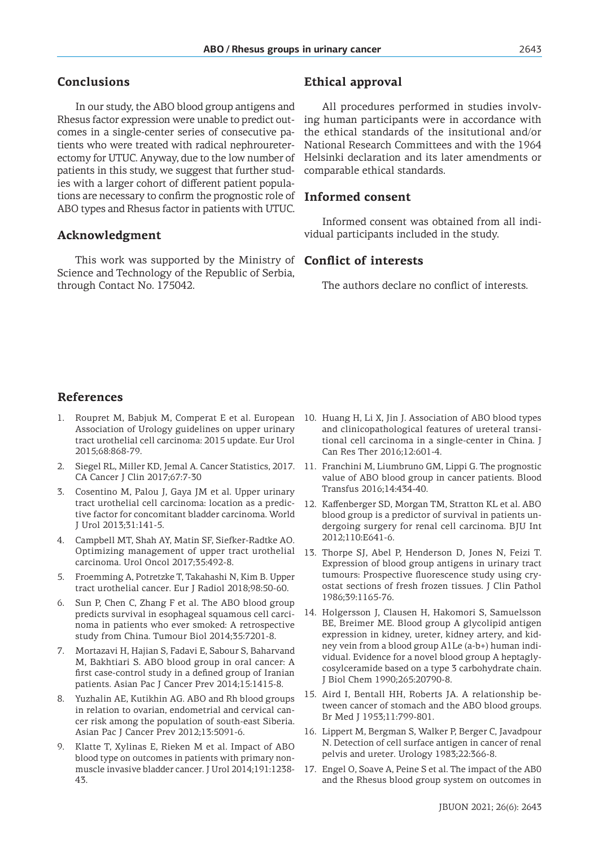# **Conclusions**

In our study, the ABO blood group antigens and Rhesus factor expression were unable to predict outcomes in a single-center series of consecutive patients who were treated with radical nephroureterectomy for UTUC. Anyway, due to the low number of patients in this study, we suggest that further studies with a larger cohort of different patient populations are necessary to confirm the prognostic role of ABO types and Rhesus factor in patients with UTUC.

# **Acknowledgment**

This work was supported by the Ministry of Science and Technology of the Republic of Serbia, through Contact No. 175042.

# **Ethical approval**

All procedures performed in studies involving human participants were in accordance with the ethical standards of the insitutional and/or National Research Committees and with the 1964 Helsinki declaration and its later amendments or comparable ethical standards.

# **Informed consent**

Informed consent was obtained from all individual participants included in the study.

# **Conflict of interests**

The authors declare no conflict of interests.

# **References**

- 1. Roupret M, Babjuk M, Comperat E et al. European 10. Huang H, Li X, Jin J. Association of ABO blood types Association of Urology guidelines on upper urinary tract urothelial cell carcinoma: 2015 update. Eur Urol 2015;68:868-79.
- CA Cancer J Clin 2017;67:7-30
- 3. Cosentino M, Palou J, Gaya JM et al. Upper urinary tract urothelial cell carcinoma: location as a predictive factor for concomitant bladder carcinoma. World J Urol 2013;31:141-5.
- 4. Campbell MT, Shah AY, Matin SF, Siefker-Radtke AO. Optimizing management of upper tract urothelial carcinoma. Urol Oncol 2017;35:492-8.
- 5. Froemming A, Potretzke T, Takahashi N, Kim B. Upper tract urothelial cancer. Eur J Radiol 2018;98:50-60.
- Sun P, Chen C, Zhang F et al. The ABO blood group predicts survival in esophageal squamous cell carcinoma in patients who ever smoked: A retrospective study from China. Tumour Biol 2014;35:7201-8.
- 7. Mortazavi H, Hajian S, Fadavi E, Sabour S, Baharvand M, Bakhtiari S. ABO blood group in oral cancer: A first case-control study in a defined group of Iranian patients. Asian Pac J Cancer Prev 2014;15:1415-8.
- Yuzhalin AE, Kutikhin AG. ABO and Rh blood groups in relation to ovarian, endometrial and cervical cancer risk among the population of south-east Siberia. Asian Pac J Cancer Prev 2012;13:5091-6.
- 9. Klatte T, Xylinas E, Rieken M et al. Impact of ABO blood type on outcomes in patients with primary nonmuscle invasive bladder cancer. J Urol 2014;191:1238- 43.
- and clinicopathological features of ureteral transitional cell carcinoma in a single-center in China. J Can Res Ther 2016;12:601-4.
- 2. Siegel RL, Miller KD, Jemal A. Cancer Statistics, 2017. 11. Franchini M, Liumbruno GM, Lippi G. The prognostic value of ABO blood group in cancer patients. Blood Transfus 2016;14:434-40.
	- 12. Kaffenberger SD, Morgan TM, Stratton KL et al. ABO blood group is a predictor of survival in patients undergoing surgery for renal cell carcinoma. BJU Int 2012;110:E641-6.
	- 13. Thorpe SJ, Abel P, Henderson D, Jones N, Feizi T. Expression of blood group antigens in urinary tract tumours: Prospective fluorescence study using cryostat sections of fresh frozen tissues. J Clin Pathol 1986;39:1165-76.
	- 14. Holgersson J, Clausen H, Hakomori S, Samuelsson BE, Breimer ME. Blood group A glycolipid antigen expression in kidney, ureter, kidney artery, and kidney vein from a blood group A1Le (a-b+) human individual. Evidence for a novel blood group A heptaglycosylceramide based on a type 3 carbohydrate chain. J Biol Chem 1990;265:20790-8.
	- 15. Aird I, Bentall HH, Roberts JA. A relationship between cancer of stomach and the ABO blood groups. Br Med J 1953;11:799-801.
	- 16. Lippert M, Bergman S, Walker P, Berger C, Javadpour N. Detection of cell surface antigen in cancer of renal pelvis and ureter. Urology 1983;22:366-8.
	- 17. Engel O, Soave A, Peine S et al. The impact of the AB0 and the Rhesus blood group system on outcomes in